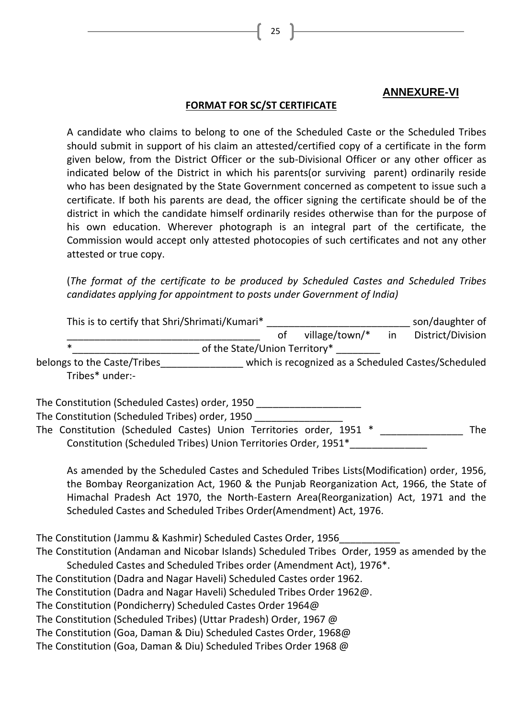## **ANNEXURE-VI**

## **FORMAT FOR SC/ST CERTIFICATE**

A candidate who claims to belong to one of the Scheduled Caste or the Scheduled Tribes should submit in support of his claim an attested/certified copy of a certificate in the form given below, from the District Officer or the sub-Divisional Officer or any other officer as indicated below of the District in which his parents(or surviving parent) ordinarily reside who has been designated by the State Government concerned as competent to issue such a certificate. If both his parents are dead, the officer signing the certificate should be of the district in which the candidate himself ordinarily resides otherwise than for the purpose of his own education. Wherever photograph is an integral part of the certificate, the Commission would accept only attested photocopies of such certificates and not any other attested or true copy.

(*The format of the certificate to be produced by Scheduled Castes and Scheduled Tribes candidates applying for appointment to posts under Government of India)*

| This is to certify that Shri/Shrimati/Kumari*                       |  |                                                     | son/daughter of |                   |  |
|---------------------------------------------------------------------|--|-----------------------------------------------------|-----------------|-------------------|--|
|                                                                     |  | village/town/*                                      | <i>in</i>       | District/Division |  |
| $\ast$<br>of the State/Union Territory*                             |  |                                                     |                 |                   |  |
| belongs to the Caste/Tribes<br>Tribes* under:-                      |  | which is recognized as a Scheduled Castes/Scheduled |                 |                   |  |
| The Constitution (Scheduled Castes) order, 1950                     |  |                                                     |                 |                   |  |
| The Constitution (Scheduled Tribes) order, 1950                     |  |                                                     |                 |                   |  |
| The Constitution (Scheduled Castes) Union Territories order, 1951 * |  |                                                     |                 | The               |  |

Constitution (Scheduled Tribes) Union Territories Order, 1951\*\_\_\_\_\_\_\_\_\_\_\_\_\_\_

As amended by the Scheduled Castes and Scheduled Tribes Lists(Modification) order, 1956, the Bombay Reorganization Act, 1960 & the Punjab Reorganization Act, 1966, the State of Himachal Pradesh Act 1970, the North-Eastern Area(Reorganization) Act, 1971 and the Scheduled Castes and Scheduled Tribes Order(Amendment) Act, 1976.

The Constitution (Jammu & Kashmir) Scheduled Castes Order, 1956\_\_\_\_\_\_\_\_\_\_\_

The Constitution (Andaman and Nicobar Islands) Scheduled Tribes Order, 1959 as amended by the Scheduled Castes and Scheduled Tribes order (Amendment Act), 1976\*.

The Constitution (Dadra and Nagar Haveli) Scheduled Castes order 1962.

The Constitution (Dadra and Nagar Haveli) Scheduled Tribes Order 1962@.

The Constitution (Pondicherry) Scheduled Castes Order 1964@

The Constitution (Scheduled Tribes) (Uttar Pradesh) Order, 1967 @

The Constitution (Goa, Daman & Diu) Scheduled Castes Order, 1968@

The Constitution (Goa, Daman & Diu) Scheduled Tribes Order 1968 @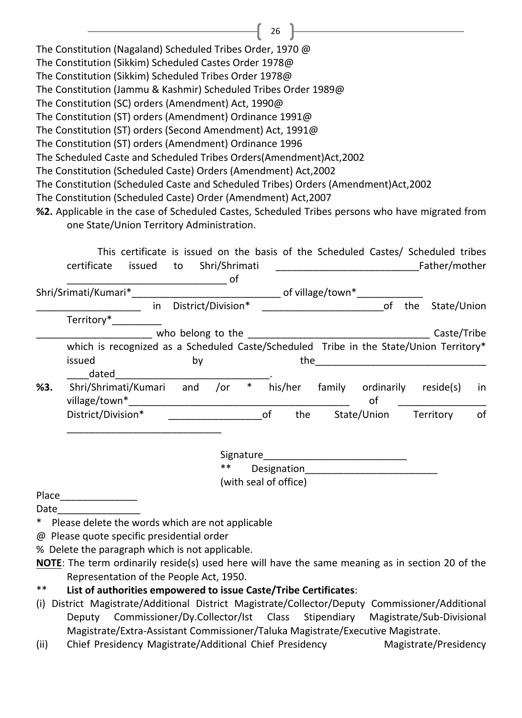The Constitution (Nagaland) Scheduled Tribes Order, 1970 @ The Constitution (Sikkim) Scheduled Castes Order 1978@ The Constitution (Sikkim) Scheduled Tribes Order 1978@ The Constitution (Jammu & Kashmir) Scheduled Tribes Order 1989@ The Constitution (SC) orders (Amendment) Act, 1990@ The Constitution (ST) orders (Amendment) Ordinance 1991@ The Constitution (ST) orders (Second Amendment) Act, 1991@ The Constitution (ST) orders (Amendment) Ordinance 1996 The Scheduled Caste and Scheduled Tribes Orders(Amendment)Act,2002 The Constitution (Scheduled Caste) Orders (Amendment) Act,2002 The Constitution (Scheduled Caste and Scheduled Tribes) Orders (Amendment)Act,2002 The Constitution (Scheduled Caste) Order (Amendment) Act,2007 **%2.** Applicable in the case of Scheduled Castes, Scheduled Tribes persons who have migrated from one State/Union Territory Administration.

26

|     | This certificate is issued on the basis of the Scheduled Castes/ Scheduled tribes      |                    |               |        |    |         |                  |             |               |             |
|-----|----------------------------------------------------------------------------------------|--------------------|---------------|--------|----|---------|------------------|-------------|---------------|-------------|
|     | certificate<br>issued                                                                  | to                 | Shri/Shrimati |        |    |         |                  |             | Father/mother |             |
|     |                                                                                        |                    | 0f            |        |    |         |                  |             |               |             |
|     | Shri/Srimati/Kumari*                                                                   |                    |               |        |    |         | of village/town* |             |               |             |
|     | in.                                                                                    | District/Division* |               |        |    |         |                  | of          | the           | State/Union |
|     | Territory*                                                                             |                    |               |        |    |         |                  |             |               |             |
|     |                                                                                        | who belong to the  |               |        |    |         |                  |             |               | Caste/Tribe |
|     | which is recognized as a Scheduled Caste/Scheduled Tribe in the State/Union Territory* |                    |               |        |    |         |                  |             |               |             |
|     | issued                                                                                 | by                 |               |        |    | the     |                  |             |               |             |
|     | dated                                                                                  |                    |               |        |    |         |                  |             |               |             |
| %3. | Shri/Shrimati/Kumari                                                                   | and                | /or           | $\ast$ |    | his/her | family           | ordinarily  | reside(s)     | in          |
|     | village/town*                                                                          |                    |               |        |    |         |                  | of          |               |             |
|     | District/Division*                                                                     |                    |               |        | of | the     |                  | State/Union | Territory     | of          |
|     |                                                                                        |                    |               |        |    |         |                  |             |               |             |

Signature Designation

(with seal of office)

Place

Date

- \* Please delete the words which are not applicable
- @ Please quote specific presidential order

% Delete the paragraph which is not applicable.

- \*\* **List of authorities empowered to issue Caste/Tribe Certificates**:
- (i) District Magistrate/Additional District Magistrate/Collector/Deputy Commissioner/Additional Deputy Commissioner/Dy.Collector/Ist Class Stipendiary Magistrate/Sub-Divisional Magistrate/Extra-Assistant Commissioner/Taluka Magistrate/Executive Magistrate.
- (ii) Chief Presidency Magistrate/Additional Chief Presidency Magistrate/Presidency

**NOTE**: The term ordinarily reside(s) used here will have the same meaning as in section 20 of the Representation of the People Act, 1950.